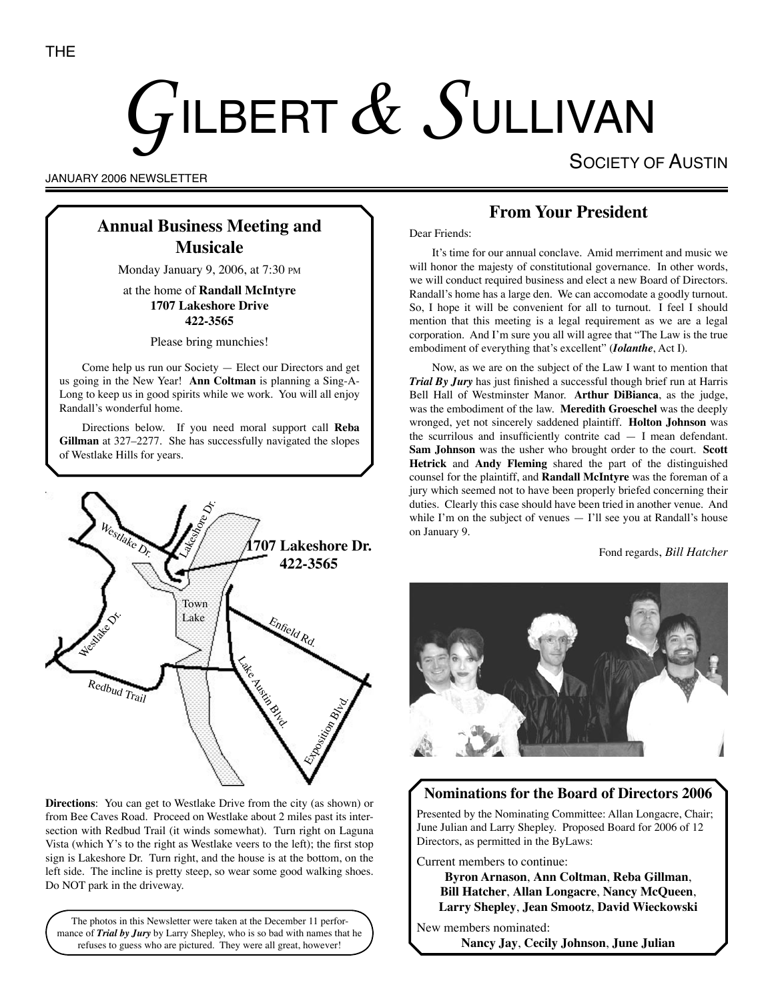# GILBERT  $\&$  SULLIVAN

SOCIETY OF AUSTIN

JANUARY 2006 NEWSLETTER

# **Annual Business Meeting and Musicale**

Monday January 9, 2006, at 7:30 PM

at the home of **Randall McIntyre 1707 Lakeshore Drive 422-3565**

Please bring munchies!

Come help us run our Society — Elect our Directors and get us going in the New Year! **Ann Coltman** is planning a Sing-A-Long to keep us in good spirits while we work. You will all enjoy Randall's wonderful home.

Directions below. If you need moral support call **Reba Gillman** at 327–2277. She has successfully navigated the slopes of Westlake Hills for years.



**Directions**: You can get to Westlake Drive from the city (as shown) or from Bee Caves Road. Proceed on Westlake about 2 miles past its intersection with Redbud Trail (it winds somewhat). Turn right on Laguna Vista (which Y's to the right as Westlake veers to the left); the first stop sign is Lakeshore Dr. Turn right, and the house is at the bottom, on the left side. The incline is pretty steep, so wear some good walking shoes. Do NOT park in the driveway.

The photos in this Newsletter were taken at the December 11 performance of *Trial by Jury* by Larry Shepley, who is so bad with names that he refuses to guess who are pictured. They were all great, however!

# **From Your President**

Dear Friends:

It's time for our annual conclave. Amid merriment and music we will honor the majesty of constitutional governance. In other words, we will conduct required business and elect a new Board of Directors. Randall's home has a large den. We can accomodate a goodly turnout. So, I hope it will be convenient for all to turnout. I feel I should mention that this meeting is a legal requirement as we are a legal corporation. And I'm sure you all will agree that "The Law is the true embodiment of everything that's excellent" (*Iolanthe*, Act I).

Now, as we are on the subject of the Law I want to mention that *Trial By Jury* has just finished a successful though brief run at Harris Bell Hall of Westminster Manor. **Arthur DiBianca**, as the judge, was the embodiment of the law. **Meredith Groeschel** was the deeply wronged, yet not sincerely saddened plaintiff. **Holton Johnson** was the scurrilous and insufficiently contrite cad — I mean defendant. **Sam Johnson** was the usher who brought order to the court. **Scott Hetrick** and **Andy Fleming** shared the part of the distinguished counsel for the plaintiff, and **Randall McIntyre** was the foreman of a jury which seemed not to have been properly briefed concerning their duties. Clearly this case should have been tried in another venue. And while I'm on the subject of venues  $-$  I'll see you at Randall's house on January 9.

Fond regards, *Bill Hatcher*



## **Nominations for the Board of Directors 2006**

Presented by the Nominating Committee: Allan Longacre, Chair; June Julian and Larry Shepley. Proposed Board for 2006 of 12 Directors, as permitted in the ByLaws:

Current members to continue:

**Byron Arnason**, **Ann Coltman**, **Reba Gillman**, **Bill Hatcher**, **Allan Longacre**, **Nancy McQueen**, **Larry Shepley**, **Jean Smootz**, **David Wieckowski**

New members nominated:

**Nancy Jay**, **Cecily Johnson**, **June Julian**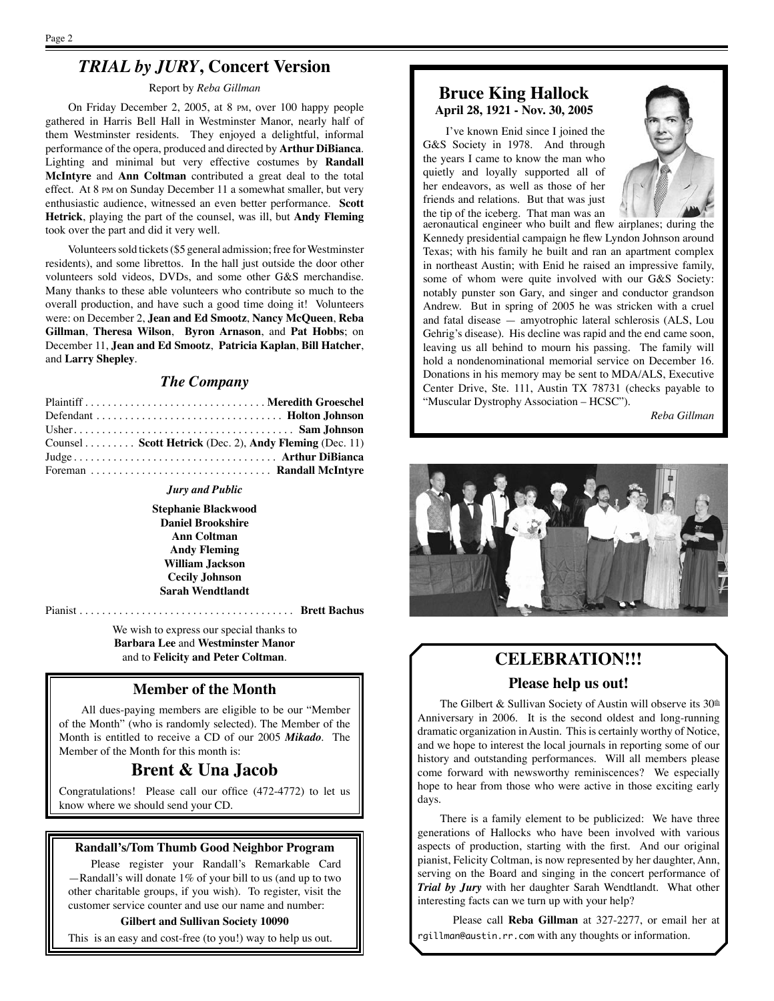# *TRIAL by JURY***, Concert Version**

#### Report by *Reba Gillman*

On Friday December 2, 2005, at 8 PM, over 100 happy people gathered in Harris Bell Hall in Westminster Manor, nearly half of them Westminster residents. They enjoyed a delightful, informal performance of the opera, produced and directed by **Arthur DiBianca**. Lighting and minimal but very effective costumes by **Randall McIntyre** and **Ann Coltman** contributed a great deal to the total effect. At 8 PM on Sunday December 11 a somewhat smaller, but very enthusiastic audience, witnessed an even better performance. **Scott Hetrick**, playing the part of the counsel, was ill, but **Andy Fleming** took over the part and did it very well.

Volunteers sold tickets (\$5 general admission; free for Westminster residents), and some librettos. In the hall just outside the door other volunteers sold videos, DVDs, and some other G&S merchandise. Many thanks to these able volunteers who contribute so much to the overall production, and have such a good time doing it! Volunteers were: on December 2, **Jean and Ed Smootz**, **Nancy McQueen**, **Reba Gillman**, **Theresa Wilson**, **Byron Arnason**, and **Pat Hobbs**; on December 11, **Jean and Ed Smootz**, **Patricia Kaplan**, **Bill Hatcher**, and **Larry Shepley**.

### *The Company*

| Plaintiff  Meredith Groeschel                          |  |
|--------------------------------------------------------|--|
|                                                        |  |
|                                                        |  |
| Counsel Scott Hetrick (Dec. 2), Andy Fleming (Dec. 11) |  |
|                                                        |  |
|                                                        |  |

#### *Jury and Public*

**Stephanie Blackwood Daniel Brookshire Ann Coltman Andy Fleming William Jackson Cecily Johnson Sarah Wendtlandt**

Pianist . . . . . . . . . . . . . . . . . . . . . . . . . . . . . . . . . . . . . . **Brett Bachus**

We wish to express our special thanks to **Barbara Lee** and **Westminster Manor** and to **Felicity and Peter Coltman**.

## **Member of the Month**

All dues-paying members are eligible to be our "Member of the Month" (who is randomly selected). The Member of the Month is entitled to receive a CD of our 2005 *Mikado*. The Member of the Month for this month is:

## **Brent & Una Jacob**

Congratulations! Please call our office (472-4772) to let us know where we should send your CD.

#### **Randall's/Tom Thumb Good Neighbor Program**

Please register your Randall's Remarkable Card —Randall's will donate 1% of your bill to us (and up to two other charitable groups, if you wish). To register, visit the customer service counter and use our name and number:

#### **Gilbert and Sullivan Society 10090**

This is an easy and cost-free (to you!) way to help us out.

## **Bruce King Hallock April 28, 1921 - Nov. 30, 2005**

I've known Enid since I joined the G&S Society in 1978. And through the years I came to know the man who quietly and loyally supported all of her endeavors, as well as those of her friends and relations. But that was just the tip of the iceberg. That man was an



aeronautical engineer who built and flew airplanes; during the Kennedy presidential campaign he flew Lyndon Johnson around Texas; with his family he built and ran an apartment complex in northeast Austin; with Enid he raised an impressive family, some of whom were quite involved with our G&S Society: notably punster son Gary, and singer and conductor grandson Andrew. But in spring of 2005 he was stricken with a cruel and fatal disease — amyotrophic lateral schlerosis (ALS, Lou Gehrig's disease). His decline was rapid and the end came soon, leaving us all behind to mourn his passing. The family will hold a nondenominational memorial service on December 16. Donations in his memory may be sent to MDA/ALS, Executive Center Drive, Ste. 111, Austin TX 78731 (checks payable to "Muscular Dystrophy Association – HCSC").

*Reba Gillman*



## **CELEBRATION!!!**

## **Please help us out!**

The Gilbert & Sullivan Society of Austin will observe its  $30<sup>th</sup>$ Anniversary in 2006. It is the second oldest and long-running dramatic organization in Austin. This is certainly worthy of Notice, and we hope to interest the local journals in reporting some of our history and outstanding performances. Will all members please come forward with newsworthy reminiscences? We especially hope to hear from those who were active in those exciting early days.

There is a family element to be publicized: We have three generations of Hallocks who have been involved with various aspects of production, starting with the first. And our original pianist, Felicity Coltman, is now represented by her daughter, Ann, serving on the Board and singing in the concert performance of *Trial by Jury* with her daughter Sarah Wendtlandt. What other interesting facts can we turn up with your help?

Please call **Reba Gillman** at 327-2277, or email her at rgillman@austin.rr.com with any thoughts or information.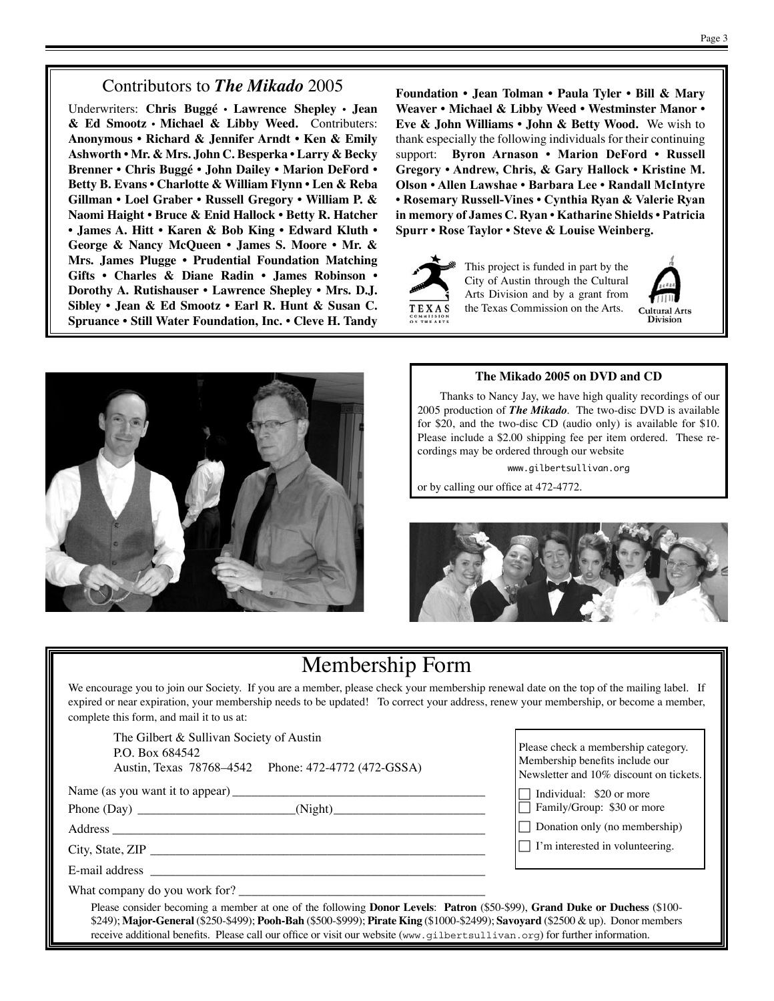## Contributors to *The Mikado* 2005

Underwriters: **Chris Buggé • Lawrence Shepley • Jean & Ed Smootz • Michael & Libby Weed.** Contributers: **Anonymous • Richard & Jennifer Arndt • Ken & Emily Ashworth • Mr. & Mrs. John C. Besperka • Larry & Becky Brenner • Chris Buggé • John Dailey • Marion DeFord • Betty B. Evans • Charlotte & William Flynn • Len & Reba Gillman • Loel Graber • Russell Gregory • William P. & Naomi Haight • Bruce & Enid Hallock • Betty R. Hatcher • James A. Hitt • Karen & Bob King • Edward Kluth • George & Nancy McQueen • James S. Moore • Mr. & Mrs. James Plugge • Prudential Foundation Matching Gifts • Charles & Diane Radin • James Robinson • Dorothy A. Rutishauser • Lawrence Shepley • Mrs. D.J. Sibley • Jean & Ed Smootz • Earl R. Hunt & Susan C. Spruance • Still Water Foundation, Inc. • Cleve H. Tandy** 

**Foundation • Jean Tolman • Paula Tyler • Bill & Mary Weaver • Michael & Libby Weed • Westminster Manor • Eve & John Williams • John & Betty Wood.** We wish to thank especially the following individuals for their continuing support: **Byron Arnason • Marion DeFord • Russell Gregory • Andrew, Chris, & Gary Hallock • Kristine M. Olson • Allen Lawshae • Barbara Lee • Randall McIntyre • Rosemary Russell-Vines • Cynthia Ryan & Valerie Ryan in memory of James C. Ryan • Katharine Shields • Patricia Spurr • Rose Taylor • Steve & Louise Weinberg.**



This project is funded in part by the City of Austin through the Cultural Arts Division and by a grant from the Texas Commission on the Arts.





### **The Mikado 2005 on DVD and CD**

Thanks to Nancy Jay, we have high quality recordings of our 2005 production of *The Mikado*. The two-disc DVD is available for \$20, and the two-disc CD (audio only) is available for \$10. Please include a \$2.00 shipping fee per item ordered. These recordings may be ordered through our website

www.gilbertsullivan.org

or by calling our office at 472-4772.



# Membership Form

We encourage you to join our Society. If you are a member, please check your membership renewal date on the top of the mailing label. If expired or near expiration, your membership needs to be updated! To correct your address, renew your membership, or become a member, complete this form, and mail it to us at:

The Gilbert & Sullivan Society of Austin P.O. Box 684542 Austin, Texas 78768–4542 Phone: 472-4772 (472-GSSA)

Name (as you want it to appear) \_\_\_\_\_\_\_\_\_\_\_\_\_\_\_\_\_\_\_\_\_\_\_\_\_\_\_\_\_\_\_\_\_\_\_\_\_\_\_\_

Phone (Day) \_\_\_\_\_\_\_\_\_\_\_\_\_\_\_\_\_\_\_\_\_\_\_\_\_(Night)\_\_\_\_\_\_\_\_\_\_\_\_\_\_\_\_\_\_\_\_\_\_\_\_

Address

City, State, ZIP \_\_\_\_\_\_\_\_\_\_\_\_\_\_\_\_\_\_\_\_\_\_\_\_\_\_\_\_\_\_\_\_\_\_\_\_\_\_\_\_\_\_\_\_\_\_\_\_\_\_\_\_\_

E-mail address \_\_\_\_\_\_\_\_\_\_\_\_\_\_\_\_\_\_\_\_\_\_\_\_\_\_\_\_\_\_\_\_\_\_\_\_\_\_\_\_\_\_\_\_\_\_\_\_\_\_\_\_\_

What company do you work for?

Please check a membership category. Membership benefits include our Newsletter and 10% discount on tickets.

 $\Box$  Individual: \$20 or more

Family/Group: \$30 or more

 $\Box$  Donation only (no membership)

 $\Box$  I'm interested in volunteering.

Please consider becoming a member at one of the following **Donor Levels**: **Patron** (\$50-\$99), **Grand Duke or Duchess** (\$100- \$249); **Major-General** (\$250-\$499); **Pooh-Bah** (\$500-\$999); **Pirate King** (\$1000-\$2499); **Savoyard** (\$2500 & up). Donor members receive additional benefits. Please call our office or visit our website (www.gilbertsullivan.org) for further information.